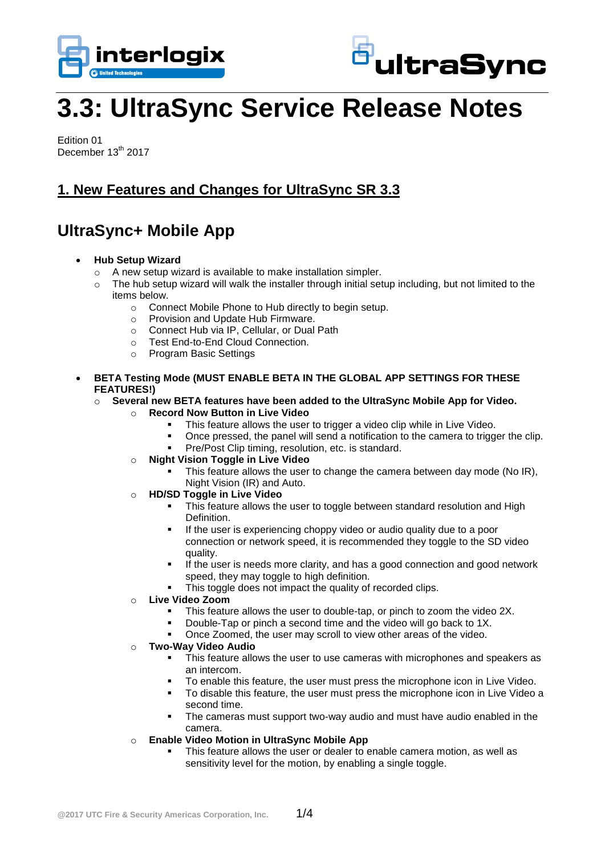



# **3.3: UltraSync Service Release Notes**

Edition 01 December 13<sup>th</sup> 2017

#### **1. New Features and Changes for UltraSync SR 3.3**

## **UltraSync+ Mobile App**

- **Hub Setup Wizard**
	- o A new setup wizard is available to make installation simpler.
	- $\circ$  The hub setup wizard will walk the installer through initial setup including, but not limited to the items below.
		- o Connect Mobile Phone to Hub directly to begin setup.
		- o Provision and Update Hub Firmware.
		- o Connect Hub via IP, Cellular, or Dual Path
		- o Test End-to-End Cloud Connection.
		- o Program Basic Settings
- **BETA Testing Mode (MUST ENABLE BETA IN THE GLOBAL APP SETTINGS FOR THESE FEATURES!)**
	- o **Several new BETA features have been added to the UltraSync Mobile App for Video.**
		- o **Record Now Button in Live Video**
			- This feature allows the user to trigger a video clip while in Live Video.
			- Once pressed, the panel will send a notification to the camera to trigger the clip.
			- Pre/Post Clip timing, resolution, etc. is standard.
		- o **Night Vision Toggle in Live Video**
			- This feature allows the user to change the camera between day mode (No IR), Night Vision (IR) and Auto.
		- o **HD/SD Toggle in Live Video**
			- This feature allows the user to toggle between standard resolution and High Definition.
			- If the user is experiencing choppy video or audio quality due to a poor connection or network speed, it is recommended they toggle to the SD video quality.
			- If the user is needs more clarity, and has a good connection and good network speed, they may toggle to high definition.
			- This toggle does not impact the quality of recorded clips.
		- o **Live Video Zoom**
			- **This feature allows the user to double-tap, or pinch to zoom the video 2X.**
			- Double-Tap or pinch a second time and the video will go back to 1X.
			- Once Zoomed, the user may scroll to view other areas of the video.
		- o **Two-Way Video Audio**
			- **This feature allows the user to use cameras with microphones and speakers as** an intercom.
			- To enable this feature, the user must press the microphone icon in Live Video.
			- To disable this feature, the user must press the microphone icon in Live Video a second time.
			- The cameras must support two-way audio and must have audio enabled in the camera.
		- o **Enable Video Motion in UltraSync Mobile App**
			- This feature allows the user or dealer to enable camera motion, as well as sensitivity level for the motion, by enabling a single toggle.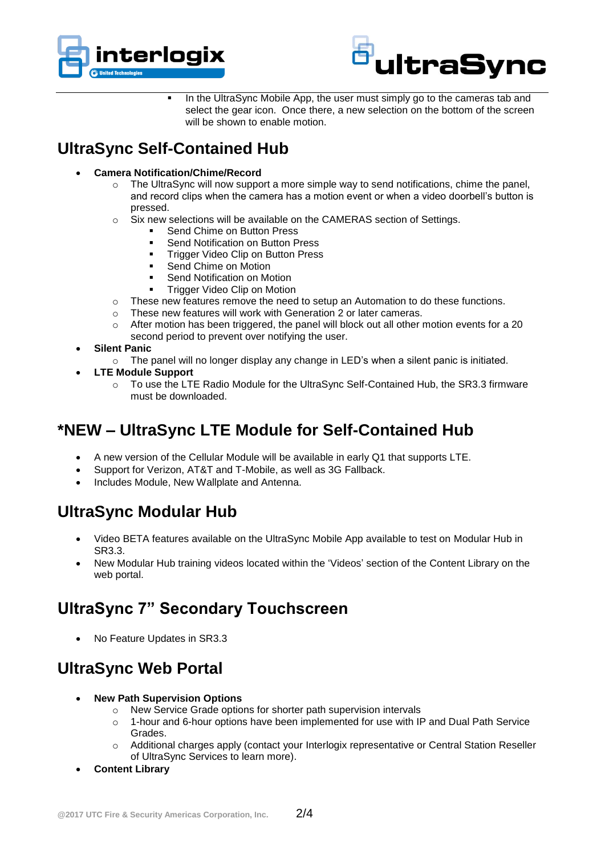



In the UltraSync Mobile App, the user must simply go to the cameras tab and select the gear icon. Once there, a new selection on the bottom of the screen will be shown to enable motion.

## **UltraSync Self-Contained Hub**

- **Camera Notification/Chime/Record**
	- $\circ$  The UltraSync will now support a more simple way to send notifications, chime the panel, and record clips when the camera has a motion event or when a video doorbell's button is pressed.
	- o Six new selections will be available on the CAMERAS section of Settings.
		- Send Chime on Button Press
		- Send Notification on Button Press
		- Trigger Video Clip on Button Press
		- Send Chime on Motion
		- Send Notification on Motion
		- Trigger Video Clip on Motion
	- $\circ$  These new features remove the need to setup an Automation to do these functions.
	- o These new features will work with Generation 2 or later cameras.
	- $\circ$  After motion has been triggered, the panel will block out all other motion events for a 20 second period to prevent over notifying the user.
- **Silent Panic**
	- $\circ$  The panel will no longer display any change in LED's when a silent panic is initiated.
- **LTE Module Support**
	- o To use the LTE Radio Module for the UltraSync Self-Contained Hub, the SR3.3 firmware must be downloaded.

### **\*NEW – UltraSync LTE Module for Self-Contained Hub**

- A new version of the Cellular Module will be available in early Q1 that supports LTE.
- Support for Verizon, AT&T and T-Mobile, as well as 3G Fallback.
- Includes Module, New Wallplate and Antenna.

## **UltraSync Modular Hub**

- Video BETA features available on the UltraSync Mobile App available to test on Modular Hub in SR3.3.
- New Modular Hub training videos located within the 'Videos' section of the Content Library on the web portal.

### **UltraSync 7" Secondary Touchscreen**

No Feature Updates in SR3.3

### **UltraSync Web Portal**

- **New Path Supervision Options**
	- o New Service Grade options for shorter path supervision intervals
	- $\circ$  1-hour and 6-hour options have been implemented for use with IP and Dual Path Service Grades.
	- o Additional charges apply (contact your Interlogix representative or Central Station Reseller of UltraSync Services to learn more).
- **Content Library**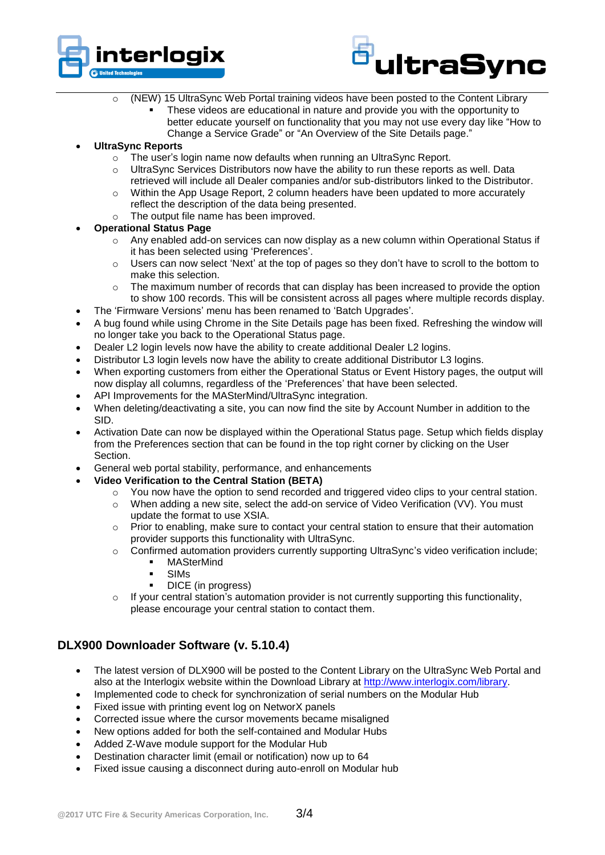



- o (NEW) 15 UltraSync Web Portal training videos have been posted to the Content Library
	- These videos are educational in nature and provide you with the opportunity to better educate yourself on functionality that you may not use every day like "How to Change a Service Grade" or "An Overview of the Site Details page."

#### **UltraSync Reports**

- o The user's login name now defaults when running an UltraSync Report.
- $\circ$  UltraSync Services Distributors now have the ability to run these reports as well. Data retrieved will include all Dealer companies and/or sub-distributors linked to the Distributor.
- Within the App Usage Report, 2 column headers have been updated to more accurately reflect the description of the data being presented.
- o The output file name has been improved.

#### **Operational Status Page**

- o Any enabled add-on services can now display as a new column within Operational Status if it has been selected using 'Preferences'.
- $\circ$  Users can now select 'Next' at the top of pages so they don't have to scroll to the bottom to make this selection.
- o The maximum number of records that can display has been increased to provide the option to show 100 records. This will be consistent across all pages where multiple records display.
- The 'Firmware Versions' menu has been renamed to 'Batch Upgrades'.
- A bug found while using Chrome in the Site Details page has been fixed. Refreshing the window will no longer take you back to the Operational Status page.
- Dealer L2 login levels now have the ability to create additional Dealer L2 logins.
- Distributor L3 login levels now have the ability to create additional Distributor L3 logins.
- When exporting customers from either the Operational Status or Event History pages, the output will now display all columns, regardless of the 'Preferences' that have been selected.
- API Improvements for the MASterMind/UltraSync integration.
- When deleting/deactivating a site, you can now find the site by Account Number in addition to the SID.
- Activation Date can now be displayed within the Operational Status page. Setup which fields display from the Preferences section that can be found in the top right corner by clicking on the User Section.
- General web portal stability, performance, and enhancements
- **Video Verification to the Central Station (BETA)**
	- $\circ$  You now have the option to send recorded and triggered video clips to your central station.
		- o When adding a new site, select the add-on service of Video Verification (VV). You must update the format to use XSIA.
		- $\circ$  Prior to enabling, make sure to contact your central station to ensure that their automation provider supports this functionality with UltraSync.
		- o Confirmed automation providers currently supporting UltraSync's video verification include;
			- MASterMind
			- SIMs
			- DICE (in progress)
		- $\circ$  If your central station's automation provider is not currently supporting this functionality, please encourage your central station to contact them.

#### **DLX900 Downloader Software (v. 5.10.4)**

- The latest version of DLX900 will be posted to the Content Library on the UltraSync Web Portal and also at the Interlogix website within the Download Library at [http://www.interlogix.com/library.](http://www.interlogix.com/library)
- Implemented code to check for synchronization of serial numbers on the Modular Hub
- Fixed issue with printing event log on NetworX panels
- Corrected issue where the cursor movements became misaligned
- New options added for both the self-contained and Modular Hubs
- Added Z-Wave module support for the Modular Hub
- Destination character limit (email or notification) now up to 64
- Fixed issue causing a disconnect during auto-enroll on Modular hub